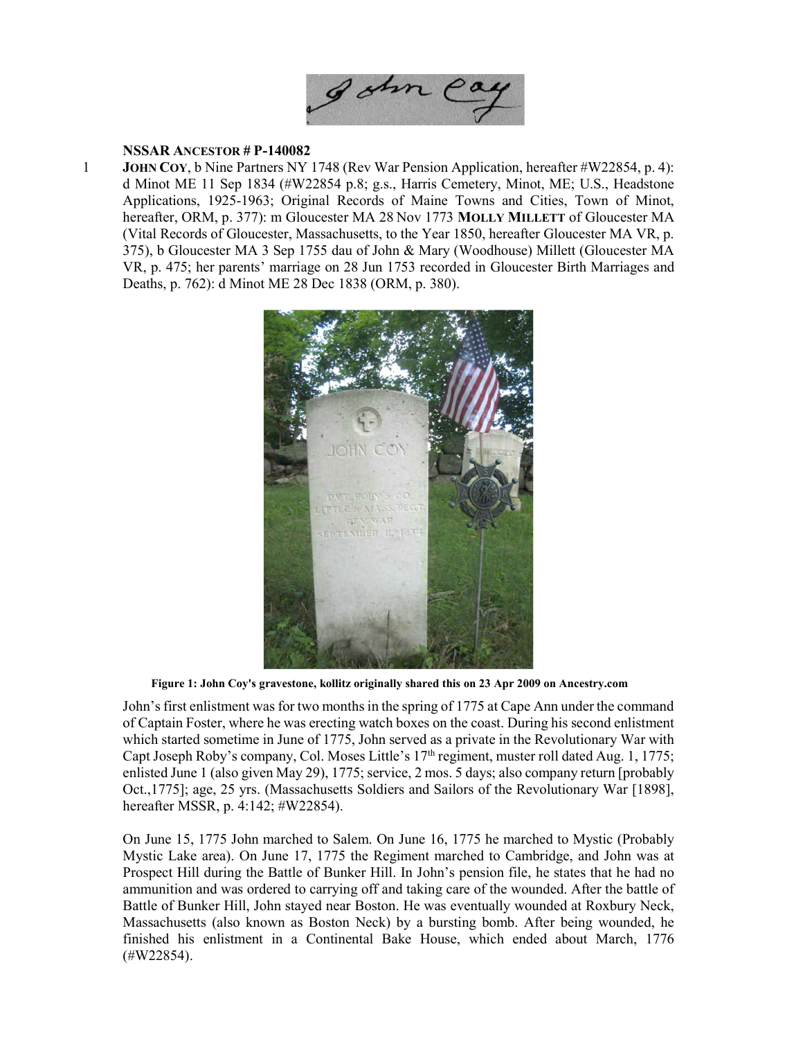

## NSSAR ANCESTOR # P-140082

1 JOHN COY, b Nine Partners NY 1748 (Rev War Pension Application, hereafter #W22854, p. 4): d Minot ME 11 Sep 1834 (#W22854 p.8; g.s., Harris Cemetery, Minot, ME; U.S., Headstone Applications, 1925-1963; Original Records of Maine Towns and Cities, Town of Minot, hereafter, ORM, p. 377): m Gloucester MA 28 Nov 1773 MOLLY MILLETT of Gloucester MA (Vital Records of Gloucester, Massachusetts, to the Year 1850, hereafter Gloucester MA VR, p. 375), b Gloucester MA 3 Sep 1755 dau of John & Mary (Woodhouse) Millett (Gloucester MA VR, p. 475; her parents' marriage on 28 Jun 1753 recorded in Gloucester Birth Marriages and Deaths, p. 762): d Minot ME 28 Dec 1838 (ORM, p. 380).



Figure 1: John Coy's gravestone, kollitz originally shared this on 23 Apr 2009 on Ancestry.com

John's first enlistment was for two months in the spring of 1775 at Cape Ann under the command of Captain Foster, where he was erecting watch boxes on the coast. During his second enlistment which started sometime in June of 1775, John served as a private in the Revolutionary War with Capt Joseph Roby's company, Col. Moses Little's 17<sup>th</sup> regiment, muster roll dated Aug. 1, 1775; enlisted June 1 (also given May 29), 1775; service, 2 mos. 5 days; also company return [probably Oct.,1775]; age, 25 yrs. (Massachusetts Soldiers and Sailors of the Revolutionary War [1898], hereafter MSSR, p. 4:142; #W22854).

On June 15, 1775 John marched to Salem. On June 16, 1775 he marched to Mystic (Probably Mystic Lake area). On June 17, 1775 the Regiment marched to Cambridge, and John was at Prospect Hill during the Battle of Bunker Hill. In John's pension file, he states that he had no ammunition and was ordered to carrying off and taking care of the wounded. After the battle of Battle of Bunker Hill, John stayed near Boston. He was eventually wounded at Roxbury Neck, Massachusetts (also known as Boston Neck) by a bursting bomb. After being wounded, he finished his enlistment in a Continental Bake House, which ended about March, 1776 (#W22854).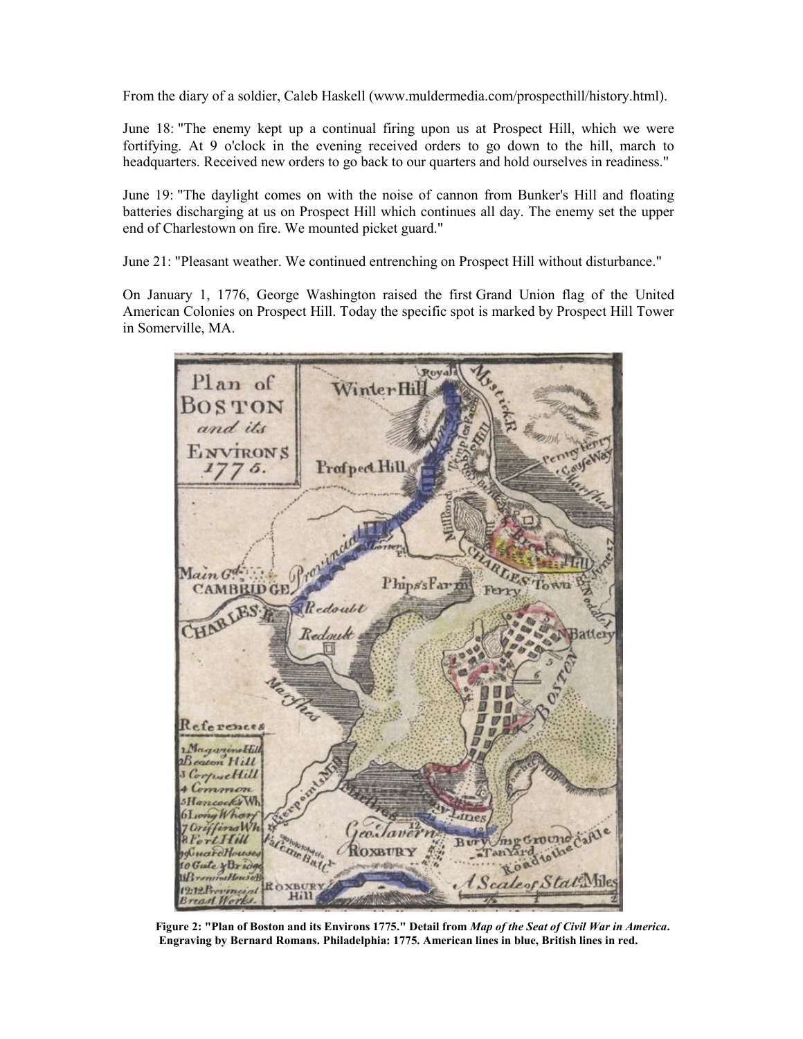From the diary of a soldier, Caleb Haskell (www.muldermedia.com/prospecthill/history.html).

June 18: "The enemy kept up a continual firing upon us at Prospect Hill, which we were fortifying. At 9 o'clock in the evening received orders to go down to the hill, march to headquarters. Received new orders to go back to our quarters and hold ourselves in readiness."

June 19: "The daylight comes on with the noise of cannon from Bunker's Hill and floating batteries discharging at us on Prospect Hill which continues all day. The enemy set the upper end of Charlestown on fire. We mounted picket guard."

June 21: "Pleasant weather. We continued entrenching on Prospect Hill without disturbance."

On January 1, 1776, George Washington raised the first Grand Union flag of the United American Colonies on Prospect Hill. Today the specific spot is marked by Prospect Hill Tower in Somerville, MA.



Figure 2: "Plan of Boston and its Environs 1775." Detail from Map of the Seat of Civil War in America. Engraving by Bernard Romans. Philadelphia: 1775. American lines in blue, British lines in red.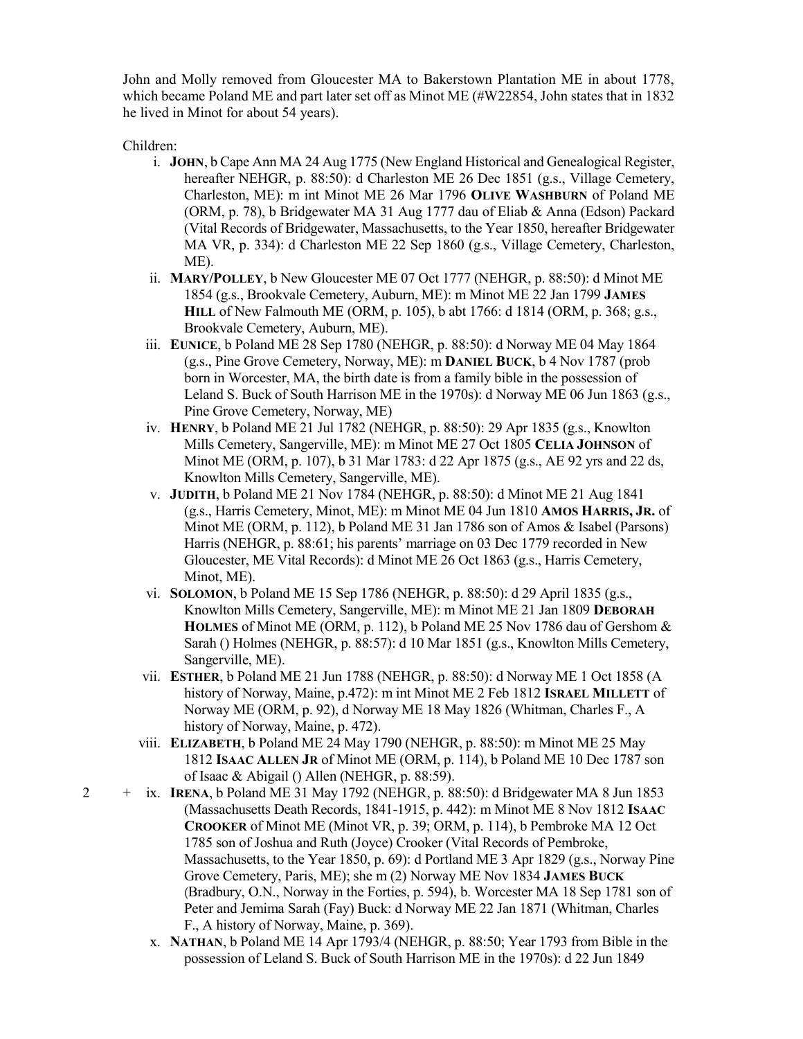John and Molly removed from Gloucester MA to Bakerstown Plantation ME in about 1778, which became Poland ME and part later set off as Minot ME (#W22854, John states that in 1832 he lived in Minot for about 54 years).

Children:

- i. JOHN, b Cape Ann MA 24 Aug 1775 (New England Historical and Genealogical Register, hereafter NEHGR, p. 88:50): d Charleston ME 26 Dec 1851 (g.s., Village Cemetery, Charleston, ME): m int Minot ME 26 Mar 1796 OLIVE WASHBURN of Poland ME (ORM, p. 78), b Bridgewater MA 31 Aug 1777 dau of Eliab & Anna (Edson) Packard (Vital Records of Bridgewater, Massachusetts, to the Year 1850, hereafter Bridgewater MA VR, p. 334): d Charleston ME 22 Sep 1860 (g.s., Village Cemetery, Charleston, ME).
- ii. MARY/POLLEY, b New Gloucester ME 07 Oct 1777 (NEHGR, p. 88:50): d Minot ME 1854 (g.s., Brookvale Cemetery, Auburn, ME): m Minot ME 22 Jan 1799 JAMES HILL of New Falmouth ME (ORM, p. 105), b abt 1766: d 1814 (ORM, p. 368; g.s., Brookvale Cemetery, Auburn, ME).
- iii. EUNICE, b Poland ME 28 Sep 1780 (NEHGR, p. 88:50): d Norway ME 04 May 1864 (g.s., Pine Grove Cemetery, Norway, ME): m DANIEL BUCK, b 4 Nov 1787 (prob born in Worcester, MA, the birth date is from a family bible in the possession of Leland S. Buck of South Harrison ME in the 1970s): d Norway ME 06 Jun 1863 (g.s., Pine Grove Cemetery, Norway, ME)
- iv. HENRY, b Poland ME 21 Jul 1782 (NEHGR, p. 88:50): 29 Apr 1835 (g.s., Knowlton Mills Cemetery, Sangerville, ME): m Minot ME 27 Oct 1805 CELIA JOHNSON of Minot ME (ORM, p. 107), b 31 Mar 1783: d 22 Apr 1875 (g.s., AE 92 yrs and 22 ds, Knowlton Mills Cemetery, Sangerville, ME).
- v. JUDITH, b Poland ME 21 Nov 1784 (NEHGR, p. 88:50): d Minot ME 21 Aug 1841 (g.s., Harris Cemetery, Minot, ME): m Minot ME 04 Jun 1810 AMOS HARRIS, JR. of Minot ME (ORM, p. 112), b Poland ME 31 Jan 1786 son of Amos & Isabel (Parsons) Harris (NEHGR, p. 88:61; his parents' marriage on 03 Dec 1779 recorded in New Gloucester, ME Vital Records): d Minot ME 26 Oct 1863 (g.s., Harris Cemetery, Minot, ME).
- vi. SOLOMON, b Poland ME 15 Sep 1786 (NEHGR, p. 88:50): d 29 April 1835 (g.s., Knowlton Mills Cemetery, Sangerville, ME): m Minot ME 21 Jan 1809 DEBORAH HOLMES of Minot ME (ORM, p. 112), b Poland ME 25 Nov 1786 dau of Gershom & Sarah () Holmes (NEHGR, p. 88:57): d 10 Mar 1851 (g.s., Knowlton Mills Cemetery, Sangerville, ME).
- vii. ESTHER, b Poland ME 21 Jun 1788 (NEHGR, p. 88:50): d Norway ME 1 Oct 1858 (A history of Norway, Maine, p.472): m int Minot ME 2 Feb 1812 ISRAEL MILLETT of Norway ME (ORM, p. 92), d Norway ME 18 May 1826 (Whitman, Charles F., A history of Norway, Maine, p. 472).
- viii. ELIZABETH, b Poland ME 24 May 1790 (NEHGR, p. 88:50): m Minot ME 25 May 1812 ISAAC ALLEN JR of Minot ME (ORM, p. 114), b Poland ME 10 Dec 1787 son of Isaac & Abigail () Allen (NEHGR, p. 88:59).
- + ix. IRENA, b Poland ME 31 May 1792 (NEHGR, p. 88:50): d Bridgewater MA 8 Jun 1853 (Massachusetts Death Records, 1841-1915, p. 442): m Minot ME 8 Nov 1812 ISAAC CROOKER of Minot ME (Minot VR, p. 39; ORM, p. 114), b Pembroke MA 12 Oct 1785 son of Joshua and Ruth (Joyce) Crooker (Vital Records of Pembroke, Massachusetts, to the Year 1850, p. 69): d Portland ME 3 Apr 1829 (g.s., Norway Pine Grove Cemetery, Paris, ME); she m (2) Norway ME Nov 1834 JAMES BUCK (Bradbury, O.N., Norway in the Forties, p. 594), b. Worcester MA 18 Sep 1781 son of Peter and Jemima Sarah (Fay) Buck: d Norway ME 22 Jan 1871 (Whitman, Charles F., A history of Norway, Maine, p. 369).
	- x. NATHAN, b Poland ME 14 Apr 1793/4 (NEHGR, p. 88:50; Year 1793 from Bible in the possession of Leland S. Buck of South Harrison ME in the 1970s): d 22 Jun 1849

2